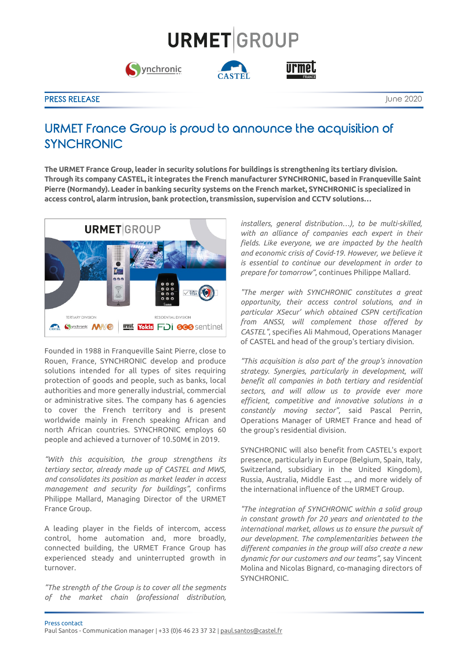## **URMET**GROUP





## PRESS RELEASE **International Contract Contract Contract Contract Contract Contract Contract Contract Contract Contract Contract Contract Contract Contract Contract Contract Contract Contract Contract Contract Contract Cont**

## URMET France Group is proud to announce the acquisition of SYNCHRONIC

**The URMET France Group, leader in security solutions for buildings is strengthening its tertiary division. Through its company CASTEL, it integrates the French manufacturer SYNCHRONIC, based in Franqueville Saint Pierre (Normandy). Leader in banking security systems on the French market, SYNCHRONIC is specialized in access control, alarm intrusion, bank protection, transmission, supervision and CCTV solutions…**



Founded in 1988 in Franqueville Saint Pierre, close to Rouen, France, SYNCHRONIC develop and produce solutions intended for all types of sites requiring protection of goods and people, such as banks, local authorities and more generally industrial, commercial or administrative sites. The company has 6 agencies to cover the French territory and is present worldwide mainly in French speaking African and north African countries. SYNCHRONIC employs 60 people and achieved a turnover of 10.50M€ in 2019.

*"With this acquisition, the group strengthens its tertiary sector, already made up of CASTEL and MWS, and consolidates its position as market leader in access management and security for buildings"*, confirms Philippe Mallard, Managing Director of the URMET France Group.

A leading player in the fields of intercom, access control, home automation and, more broadly, connected building, the URMET France Group has experienced steady and uninterrupted growth in turnover.

*"The strength of the Group is to cover all the segments of the market chain (professional distribution,* 

*installers, general distribution…), to be multi-skilled, with an alliance of companies each expert in their fields. Like everyone, we are impacted by the health and economic crisis of Covid-19. However, we believe it is essential to continue our development in order to prepare for tomorrow"*, continues Philippe Mallard.

*"The merger with SYNCHRONIC constitutes a great opportunity, their access control solutions, and in particular XSecur' which obtained CSPN certification from ANSSI, will complement those offered by CASTEL"*, specifies Ali Mahmoud, Operations Manager of CASTEL and head of the group's tertiary division.

*"This acquisition is also part of the group's innovation strategy. Synergies, particularly in development, will benefit all companies in both tertiary and residential sectors, and will allow us to provide ever more efficient, competitive and innovative solutions in a constantly moving sector"*, said Pascal Perrin, Operations Manager of URMET France and head of the group's residential division.

SYNCHRONIC will also benefit from CASTEL's export presence, particularly in Europe (Belgium, Spain, Italy, Switzerland, subsidiary in the United Kingdom), Russia, Australia, Middle East ..., and more widely of the international influence of the URMET Group.

*"The integration of SYNCHRONIC within a solid group in constant growth for 20 years and orientated to the international market, allows us to ensure the pursuit of our development. The complementarities between the different companies in the group will also create a new dynamic for our customers and our teams"*, say Vincent Molina and Nicolas Bignard, co-managing directors of SYNCHRONIC.